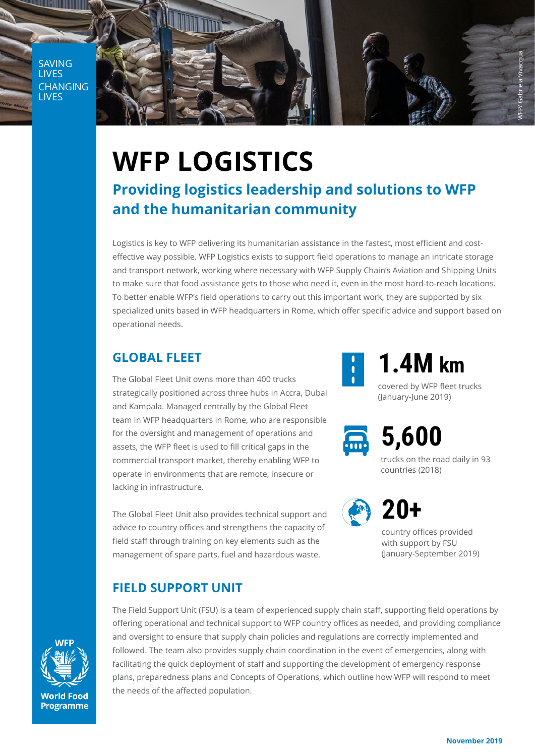SAVING LIVES CHANGING LIVES



# **WFP LOGISTICS**

### **Providing logistics leadership and solutions to WFP and the humanitarian community**

Logistics is key to WFP delivering its humanitarian assistance in the fastest, most efficient and costeffective way possible. WFP Logistics exists to support field operations to manage an intricate storage and transport network, working where necessary with WFP Supply Chain's Aviation and Shipping Units to make sure that food assistance gets to those who need it, even in the most hard-to-reach locations. To better enable WFP's field operations to carry out this important work, they are supported by six specialized units based in WFP headquarters in Rome, which offer specific advice and support based on operational needs.

#### **GLOBAL FLEET**

The Global Fleet Unit owns more than 400 trucks strategically positioned across three hubs in Accra, Dubai and Kampala. Managed centrally by the Global Fleet team in WFP headquarters in Rome, who are responsible for the oversight and management of operations and assets, the WFP fleet is used to fill critical gaps in the commercial transport market, thereby enabling WFP to operate in environments that are remote, insecure or lacking in infrastructure.

The Global Fleet Unit also provides technical support and advice to country offices and strengthens the capacity of field staff through training on key elements such as the management of spare parts, fuel and hazardous waste.





**1.4M km**

covered by WFP fleet trucks (January-June 2019)



**5,600**

trucks on the road daily in 93 countries (2018)



## **20+**

country offices provided with support by FSU (January-September 2019)



The Field Support Unit (FSU) is a team of experienced supply chain staff, supporting field operations by offering operational and technical support to WFP country offices as needed, and providing compliance and oversight to ensure that supply chain policies and regulations are correctly implemented and followed. The team also provides supply chain coordination in the event of emergencies, along with facilitating the quick deployment of staff and supporting the development of emergency response plans, preparedness plans and Concepts of Operations, which outline how WFP will respond to meet the needs of the affected population.